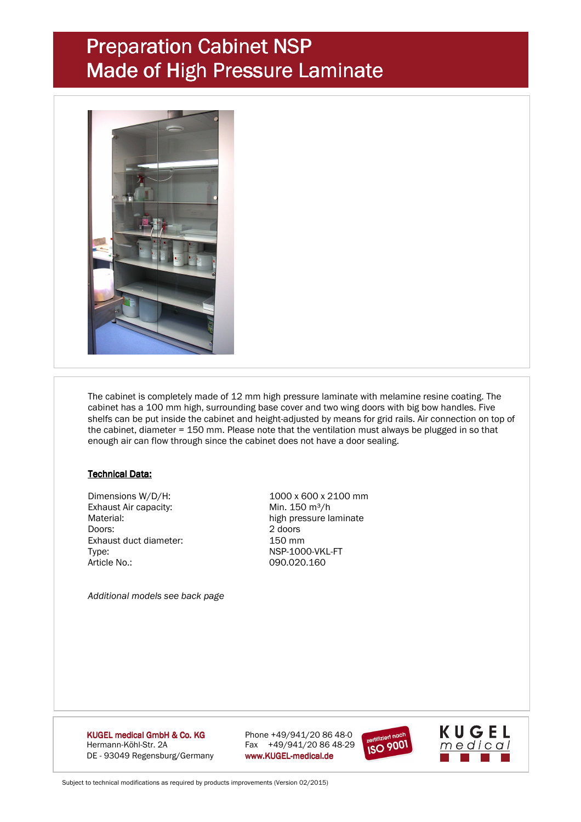## Preparation Cabinet NSP Made of High Pressure Laminate



 The cabinet is completely made of 12 mm high pressure laminate with melamine resine coating. The cabinet has a 100 mm high, surrounding base cover and two wing doors with big bow handles. Five shelfs can be put inside the cabinet and height-adjusted by means for grid rails. Air connection on top of the cabinet, diameter = 150 mm. Please note that the ventilation must always be plugged in so that enough air can flow through since the cabinet does not have a door sealing.

#### **Technical Data:**

Exhaust Air capacity: Min. 150 m<sup>3</sup>/h Doors: 2 doors Exhaust duct diameter: Type: NSP-1000-VKL-FT Article No.: 090.020.160

 Dimensions W/D/H: 1000 x 600 x 2100 mm Material: high pressure laminate

 *Additional models see back page* 

KUGEL medical GmbH & Co. KG Hermann-Köhl-Str. 2A Fax +49/941/20 86 48-29 DE - 93049 Regensburg/Germany www.KUGEL-medical.de

Phone  $+49/941/208648-0$ 





Subject to technical modifications as required by products improvements (Version 02/2015)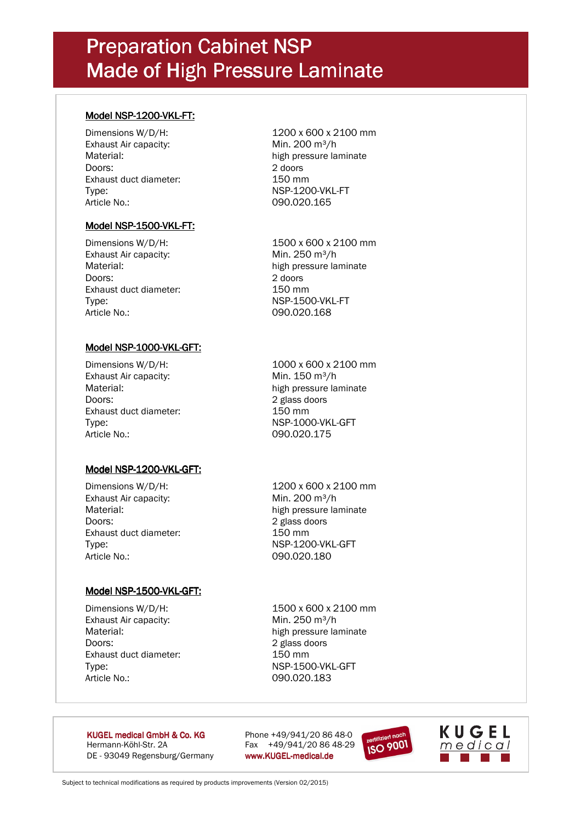## Preparation Cabinet NSP Made of High Pressure Laminate

#### Model NSP-1200-VKL-FT:

Dimensions W/D/H: 1200 x 600 x 2100 mm Exhaust Air capacity: Min. 200 m<sup>3</sup>/h Material: high pressure laminate Doors: 2 doors Exhaust duct diameter: 150 mm Type: NSP-1200-VKL-FT Article No.: 090.020.165

#### Model NSP-1500-VKL-FT:

Dimensions W/D/H: 1500 x 600 x 2100 mm Exhaust Air capacity: Min. 250 m<sup>3</sup>/h Material: high pressure laminate Doors: 2 doors Exhaust duct diameter: 150 mm Type: NSP-1500-VKL-FT Article No.: 090.020.168

### Model NSP-1000-VKL-GFT:

Exhaust Air capacity: Min. 150 m<sup>3</sup>/h Doors: 2 glass doors Exhaust duct diameter: 150 mm Type: NSP-1000-VKL-GFT Article No.: 090.020.175

Dimensions W/D/H: 1000 x 600 x 2100 mm Material: **high pressure laminate** 

### Model NSP-1200-VKL-GFT:

Exhaust Air capacity: Min. 200 m<sup>3</sup>/h Material: high pressure laminate Doors: 2 glass doors Exhaust duct diameter: 150 mm Type: NSP-1200-VKL-GFT Article No.: 090.020.180

Dimensions W/D/H: 1200 x 600 x 2100 mm

#### Model NSP-1500-VKL-GFT:

Exhaust Air capacity: Min. 250 m<sup>3</sup>/h Material: high pressure laminate Doors: 2 glass doors Exhaust duct diameter: 150 mm Type: NSP-1500-VKL-GFT Article No.: 090.020.183

Dimensions W/D/H: 1500 x 600 x 2100 mm

**KUGEL medical GmbH & Co. KG** Phone  $+49/941/20 86 48-0$ Hermann-Köhl-Str. 2A Fax +49/941/20 86 48-29 DE - 93049 Regensburg/Germany www.KUGEL-medical.de